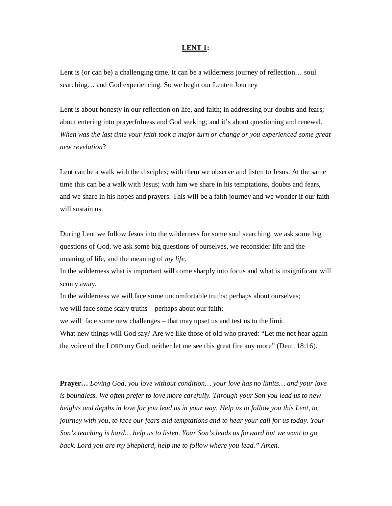## **LENT 1:**

Lent is (or can be) a challenging time. It can be a wilderness journey of reflection... soul searching… and God experiencing. So we begin our Lenten Journey

Lent is about honesty in our reflection on life, and faith; in addressing our doubts and fears; about entering into prayerfulness and God seeking; and it's about questioning and renewal. *When was the last time your faith took a major turn or change or you experienced some great new revelation*?

Lent can be a walk with the disciples; with them we observe and listen to Jesus. At the same time this can be a walk with Jesus; with him we share in his temptations, doubts and fears, and we share in his hopes and prayers. This will be a faith journey and we wonder if our faith will sustain us.

During Lent we follow Jesus into the wilderness for some soul searching, we ask some big questions of God, we ask some big questions of ourselves, we reconsider life and the meaning of life, and the meaning of *my life*.

In the wilderness what is important will come sharply into focus and what is insignificant will scurry away.

In the wilderness we will face some uncomfortable truths: perhaps about ourselves; we will face some scary truths – perhaps about our faith;

we will face some new challenges – that may upset us and test us to the limit. What new things will God say? Are we like those of old who prayed: "Let me not hear again the voice of the LORD my God, neither let me see this great fire any more" (Deut. 18:16).

**Prayer…** *Loving God, you love without condition… your love has no limits… and your love is boundless. We often prefer to love more carefully. Through your Son you lead us to new heights and depths in love for you lead us in your way. Help us to follow you this Lent, to journey with you, to face our fears and temptations and to hear your call for us today. Your Son's teaching is hard… help us to listen. Your Son's leads us forward but we want to go back. Lord you are my Shepherd, help me to follow where you lead." Amen.*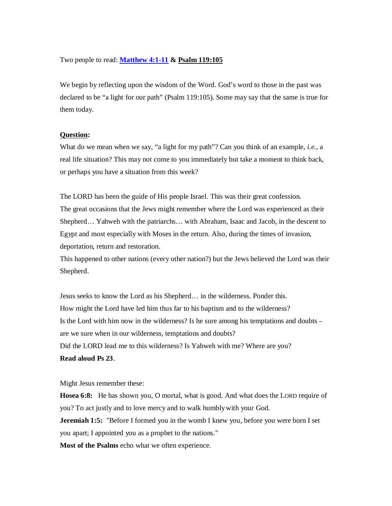## Two people to read: **Matthew 4:1-11 & Psalm 119:105**

We begin by reflecting upon the wisdom of the Word. God's word to those in the past was declared to be "a light for our path" (Psalm 119:105). Some may say that the same is true for them today.

## **Question:**

What do we mean when we say, "a light for my path"? Can you think of an example, *i.e.,* a real life situation? This may not come to you immediately but take a moment to think back, or perhaps you have a situation from this week?

The LORD has been the guide of His people Israel. This was their great confession. The great occasions that the Jews might remember where the Lord was experienced as their Shepherd… Yahweh with the patriarchs… with Abraham, Isaac and Jacob, in the descent to Egypt and most especially with Moses in the return. Also, during the times of invasion, deportation, return and restoration.

This happened to other nations (every other nation?) but the Jews believed the Lord was their Shepherd.

Jesus seeks to know the Lord as his Shepherd… in the wilderness. Ponder this. How might the Lord have led him thus far to his baptism and to the wilderness? Is the Lord with him now in the wilderness? Is he sure among his temptations and doubts – are we sure when in our wilderness, temptations and doubts? Did the LORD lead me to this wilderness? Is Yahweh with me? Where are you? **Read aloud Ps 23**.

Might Jesus remember these:

**Hosea 6:8:** He has shown you, O mortal, what is good. And what does the LORD require of you? To act justly and to love mercy and to walk humblywith your God.

**Jeremiah 1:5:** "Before I formed you in the womb I knew you, before you were born I set you apart; I appointed you as a prophet to the nations."

**Most of the Psalms** echo what we often experience.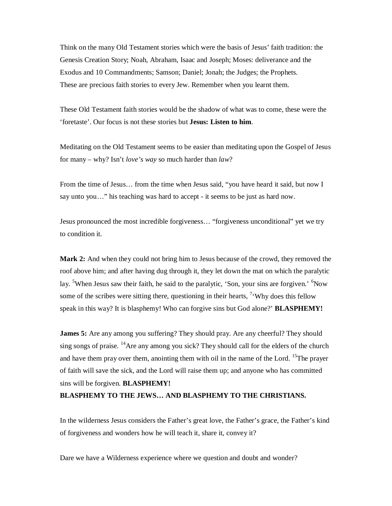Think on the many Old Testament stories which were the basis of Jesus' faith tradition: the Genesis Creation Story; Noah, Abraham, Isaac and Joseph; Moses: deliverance and the Exodus and 10 Commandments; Samson; Daniel; Jonah; the Judges; the Prophets. These are precious faith stories to every Jew. Remember when you learnt them.

These Old Testament faith stories would be the shadow of what was to come, these were the 'foretaste'. Our focus is not these stories but **Jesus: Listen to him**.

Meditating on the Old Testament seems to be easier than meditating upon the Gospel of Jesus for many – why? Isn't *love's way* so much harder than *law*?

From the time of Jesus… from the time when Jesus said, "you have heard it said, but now I say unto you…" his teaching was hard to accept - it seems to be just as hard now.

Jesus pronounced the most incredible forgiveness… "forgiveness unconditional" yet we try to condition it.

**Mark 2:** And when they could not bring him to Jesus because of the crowd, they removed the roof above him; and after having dug through it, they let down the mat on which the paralytic lay. <sup>5</sup>When Jesus saw their faith, he said to the paralytic, 'Son, your sins are forgiven.' <sup>6</sup>Now some of the scribes were sitting there, questioning in their hearts,  $\frac{7}{1}$ Why does this fellow speak in this way? It is blasphemy! Who can forgive sins but God alone?' **BLASPHEMY!**

**James 5:** Are any among you suffering? They should pray. Are any cheerful? They should sing songs of praise. <sup>14</sup>Are any among you sick? They should call for the elders of the church and have them pray over them, anointing them with oil in the name of the Lord. <sup>15</sup>The prayer of faith will save the sick, and the Lord will raise them up; and anyone who has committed sins will be forgiven. **BLASPHEMY!** 

## **BLASPHEMY TO THE JEWS… AND BLASPHEMY TO THE CHRISTIANS.**

In the wilderness Jesus considers the Father's great love, the Father's grace, the Father's kind of forgiveness and wonders how he will teach it, share it, convey it?

Dare we have a Wilderness experience where we question and doubt and wonder?